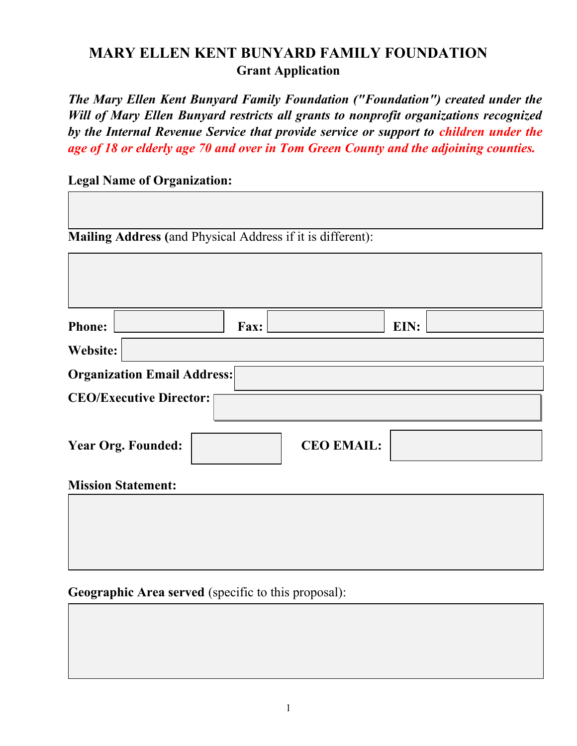## **MARY ELLEN KENT BUNYARD FAMILY FOUNDATION Grant Application**

*The Mary Ellen Kent Bunyard Family Foundation ("Foundation") created under the Will of Mary Ellen Bunyard restricts all grants to nonprofit organizations recognized by the Internal Revenue Service that provide service or support to children under the age of 18 or elderly age 70 and over in Tom Green County and the adjoining counties.*

**Legal Name of Organization:**

**Mailing Address (**and Physical Address if it is different):

| Website:                           |                   |  |
|------------------------------------|-------------------|--|
| <b>Organization Email Address:</b> |                   |  |
| <b>CEO/Executive Director:</b>     |                   |  |
|                                    |                   |  |
| <b>Year Org. Founded:</b>          | <b>CEO EMAIL:</b> |  |
| <b>Mission Statement:</b>          |                   |  |

Geographic Area served (specific to this proposal):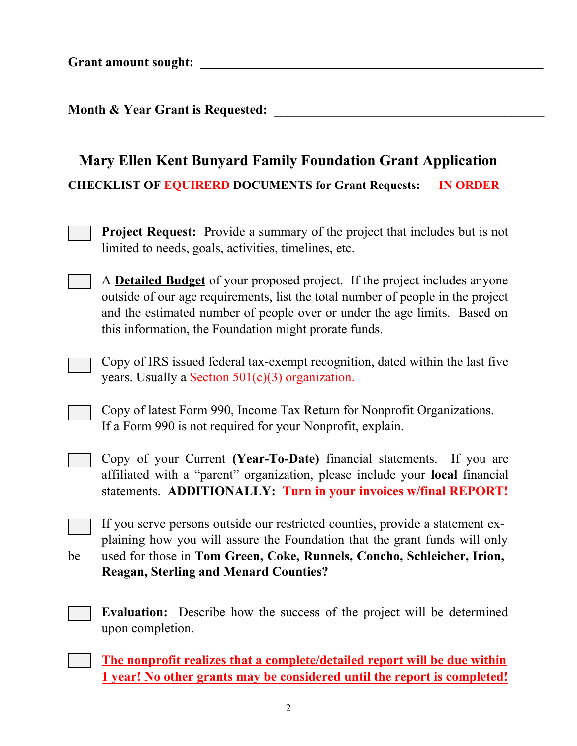Grant amount sought:

**Month & Year Grant is Requested:** 

## **Mary Ellen Kent Bunyard Family Foundation Grant Application CHECKLIST OF EQUIRERD DOCUMENTS for Grant Requests: IN ORDER**

- **Project Request:** Provide a summary of the project that includes but is not limited to needs, goals, activities, timelines, etc.
- A **Detailed Budget** of your proposed project. If the project includes anyone outside of our age requirements, list the total number of people in the project and the estimated number of people over or under the age limits. Based on this information, the Foundation might prorate funds.
- Copy of IRS issued federal tax-exempt recognition, dated within the last five years. Usually a Section  $501(c)(3)$  organization.
- Copy of latest Form 990, Income Tax Return for Nonprofit Organizations. If a Form 990 is not required for your Nonprofit, explain.
- Copy of your Current **(Year-To-Date)** financial statements. If you are affiliated with a "parent" organization, please include your **local** financial statements. **ADDITIONALLY: Turn in your invoices w/final REPORT!**
- If you serve persons outside our restricted counties, provide a statement explaining how you will assure the Foundation that the grant funds will only be used for those in **Tom Green, Coke, Runnels, Concho, Schleicher, Irion, Reagan, Sterling and Menard Counties?**
	- **Evaluation:** Describe how the success of the project will be determined upon completion.
	- **The nonprofit realizes that a complete/detailed report will be due within 1 year! No other grants may be considered until the report is completed!**